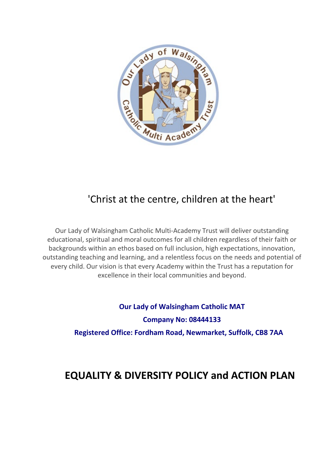

# 'Christ at the centre, children at the heart'

Our Lady of Walsingham Catholic Multi-Academy Trust will deliver outstanding educational, spiritual and moral outcomes for all children regardless of their faith or backgrounds within an ethos based on full inclusion, high expectations, innovation, outstanding teaching and learning, and a relentless focus on the needs and potential of every child. Our vision is that every Academy within the Trust has a reputation for excellence in their local communities and beyond.

> **Our Lady of Walsingham Catholic MAT Company No: 08444133 Registered Office: Fordham Road, Newmarket, Suffolk, CB8 7AA**

# **EQUALITY & DIVERSITY POLICY and ACTION PLAN**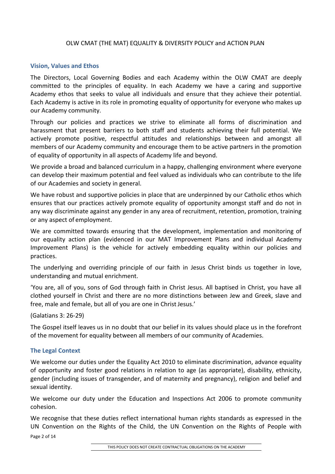#### OLW CMAT (THE MAT) EQUALITY & DIVERSITY POLICY and ACTION PLAN

#### **Vision, Values and Ethos**

The Directors, Local Governing Bodies and each Academy within the OLW CMAT are deeply committed to the principles of equality. In each Academy we have a caring and supportive Academy ethos that seeks to value all individuals and ensure that they achieve their potential. Each Academy is active in its role in promoting equality of opportunity for everyone who makes up our Academy community.

Through our policies and practices we strive to eliminate all forms of discrimination and harassment that present barriers to both staff and students achieving their full potential. We actively promote positive, respectful attitudes and relationships between and amongst all members of our Academy community and encourage them to be active partners in the promotion of equality of opportunity in all aspects of Academy life and beyond.

We provide a broad and balanced curriculum in a happy, challenging environment where everyone can develop their maximum potential and feel valued as individuals who can contribute to the life of our Academies and society in general.

We have robust and supportive policies in place that are underpinned by our Catholic ethos which ensures that our practices actively promote equality of opportunity amongst staff and do not in any way discriminate against any gender in any area of recruitment, retention, promotion, training or any aspect of employment.

We are committed towards ensuring that the development, implementation and monitoring of our equality action plan (evidenced in our MAT Improvement Plans and individual Academy Improvement Plans) is the vehicle for actively embedding equality within our policies and practices.

The underlying and overriding principle of our faith in Jesus Christ binds us together in love, understanding and mutual enrichment.

'You are, all of you, sons of God through faith in Christ Jesus. All baptised in Christ, you have all clothed yourself in Christ and there are no more distinctions between Jew and Greek, slave and free, male and female, but all of you are one in Christ Jesus.'

(Galatians 3: 26-29)

The Gospel itself leaves us in no doubt that our belief in its values should place us in the forefront of the movement for equality between all members of our community of Academies.

#### **The Legal Context**

We welcome our duties under the Equality Act 2010 to eliminate discrimination, advance equality of opportunity and foster good relations in relation to age (as appropriate), disability, ethnicity, gender (including issues of transgender, and of maternity and pregnancy), religion and belief and sexual identity.

We welcome our duty under the Education and Inspections Act 2006 to promote community cohesion.

Page 2 of 14 We recognise that these duties reflect international human rights standards as expressed in the UN Convention on the Rights of the Child, the UN Convention on the Rights of People with

THIS POLICY DOES NOT CREATE CONTRACTUAL OBLIGATIONS ON THE ACADEMY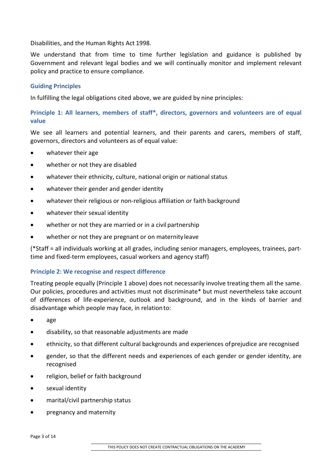Disabilities, and the Human Rights Act 1998.

We understand that from time to time further legislation and guidance is published by Government and relevant legal bodies and we will continually monitor and implement relevant policy and practice to ensure compliance.

## **Guiding Principles**

In fulfilling the legal obligations cited above, we are guided by nine principles:

# **Principle 1: All learners, members of staff\*, directors, governors and volunteers are of equal value**

We see all learners and potential learners, and their parents and carers, members of staff, governors, directors and volunteers as of equal value:

- whatever their age
- whether or not they are disabled
- whatever their ethnicity, culture, national origin or national status
- whatever their gender and gender identity
- whatever their religious or non-religious affiliation or faith background
- whatever their sexual identity
- whether or not they are married or in a civil partnership
- whether or not they are pregnant or on maternity leave

(\*Staff = all individuals working at all grades, including senior managers, employees, trainees, parttime and fixed-term employees, casual workers and agency staff)

## **Principle 2: We recognise and respect difference**

Treating people equally (Principle 1 above) does not necessarily involve treating them all the same. Our policies, procedures and activities must not discriminate\* but must nevertheless take account of differences of life-experience, outlook and background, and in the kinds of barrier and disadvantage which people may face, in relationto:

- age
- disability, so that reasonable adjustments are made
- ethnicity, so that different cultural backgrounds and experiences of prejudice are recognised
- gender, so that the different needs and experiences of each gender or gender identity, are recognised
- religion, belief or faith background
- sexual identity
- marital/civil partnership status
- pregnancy and maternity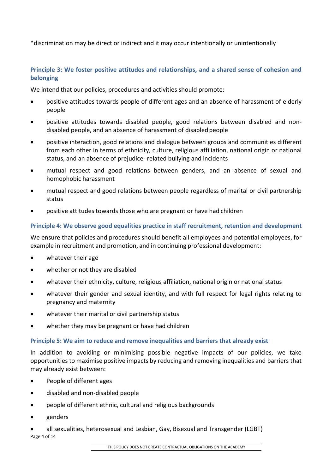\*discrimination may be direct or indirect and it may occur intentionally or unintentionally

# **Principle 3: We foster positive attitudes and relationships, and a shared sense of cohesion and belonging**

We intend that our policies, procedures and activities should promote:

- positive attitudes towards people of different ages and an absence of harassment of elderly people
- positive attitudes towards disabled people, good relations between disabled and nondisabled people, and an absence of harassment of disabled people
- positive interaction, good relations and dialogue between groups and communities different from each other in terms of ethnicity, culture, religious affiliation, national origin or national status, and an absence of prejudice- related bullying and incidents
- mutual respect and good relations between genders, and an absence of sexual and homophobic harassment
- mutual respect and good relations between people regardless of marital or civil partnership status
- positive attitudes towards those who are pregnant or have had children

## **Principle 4: We observe good equalities practice in staff recruitment, retention and development**

We ensure that policies and procedures should benefit all employees and potential employees, for example in recruitment and promotion, and in continuing professional development:

- whatever their age
- whether or not they are disabled
- whatever their ethnicity, culture, religious affiliation, national origin or national status
- whatever their gender and sexual identity, and with full respect for legal rights relating to pregnancy and maternity
- whatever their marital or civil partnership status
- whether they may be pregnant or have had children

#### **Principle 5: We aim to reduce and remove inequalities and barriers that already exist**

In addition to avoiding or minimising possible negative impacts of our policies, we take opportunities to maximise positive impacts by reducing and removing inequalities and barriers that may already exist between:

- People of different ages
- disabled and non-disabled people
- people of different ethnic, cultural and religious backgrounds
- genders

Page 4 of 14 • all sexualities, heterosexual and Lesbian, Gay, Bisexual and Transgender (LGBT)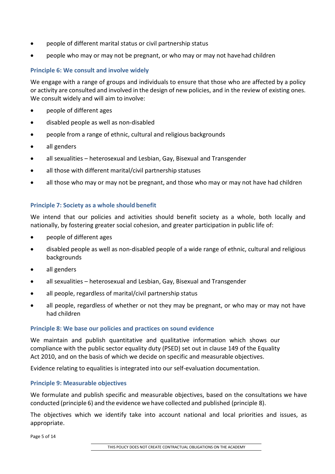- people of different marital status or civil partnership status
- people who may or may not be pregnant, or who may or may not havehad children

## **Principle 6: We consult and involve widely**

We engage with a range of groups and individuals to ensure that those who are affected by a policy or activity are consulted and involved in the design of new policies, and in the review of existing ones. We consult widely and will aim to involve:

- people of different ages
- disabled people as well as non-disabled
- people from a range of ethnic, cultural and religious backgrounds
- all genders
- all sexualities heterosexual and Lesbian, Gay, Bisexual and Transgender
- all those with different marital/civil partnership statuses
- all those who may or may not be pregnant, and those who may or may not have had children

## **Principle 7: Society as a whole should benefit**

We intend that our policies and activities should benefit society as a whole, both locally and nationally, by fostering greater social cohesion, and greater participation in public life of:

- people of different ages
- disabled people as well as non-disabled people of a wide range of ethnic, cultural and religious backgrounds
- all genders
- all sexualities heterosexual and Lesbian, Gay, Bisexual and Transgender
- all people, regardless of marital/civil partnership status
- all people, regardless of whether or not they may be pregnant, or who may or may not have had children

#### **Principle 8: We base our policies and practices on sound evidence**

We maintain and publish quantitative and qualitative information which shows our compliance with the public sector equality duty (PSED) set out in clause 149 of the Equality Act 2010, and on the basis of which we decide on specific and measurable objectives.

Evidence relating to equalities is integrated into our self-evaluation documentation.

#### **Principle 9: Measurable objectives**

We formulate and publish specific and measurable objectives, based on the consultations we have conducted (principle 6) and the evidence we have collected and published (principle 8).

The objectives which we identify take into account national and local priorities and issues, as appropriate.

Page 5 of 14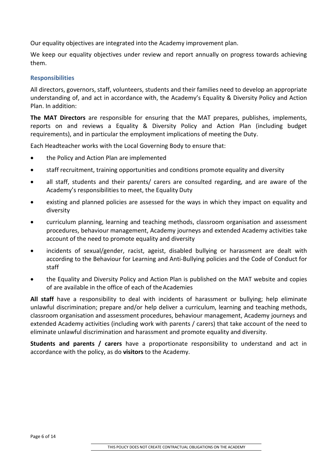Our equality objectives are integrated into the Academy improvement plan.

We keep our equality objectives under review and report annually on progress towards achieving them.

#### **Responsibilities**

All directors, governors, staff, volunteers, students and their families need to develop an appropriate understanding of, and act in accordance with, the Academy's Equality & Diversity Policy and Action Plan. In addition:

**The MAT Directors** are responsible for ensuring that the MAT prepares, publishes, implements, reports on and reviews a Equality & Diversity Policy and Action Plan (including budget requirements), and in particular the employment implications of meeting the Duty.

Each Headteacher works with the Local Governing Body to ensure that:

- the Policy and Action Plan are implemented
- staff recruitment, training opportunities and conditions promote equality and diversity
- all staff, students and their parents/ carers are consulted regarding, and are aware of the Academy's responsibilities to meet, the Equality Duty
- existing and planned policies are assessed for the ways in which they impact on equality and diversity
- curriculum planning, learning and teaching methods, classroom organisation and assessment procedures, behaviour management, Academy journeys and extended Academy activities take account of the need to promote equality and diversity
- incidents of sexual/gender, racist, ageist, disabled bullying or harassment are dealt with according to the Behaviour for Learning and Anti-Bullying policies and the Code of Conduct for staff
- the Equality and Diversity Policy and Action Plan is published on the MAT website and copies of are available in the office of each of theAcademies

**All staff** have a responsibility to deal with incidents of harassment or bullying; help eliminate unlawful discrimination; prepare and/or help deliver a curriculum, learning and teaching methods, classroom organisation and assessment procedures, behaviour management, Academy journeys and extended Academy activities (including work with parents / carers) that take account of the need to eliminate unlawful discrimination and harassment and promote equality and diversity.

**Students and parents / carers** have a proportionate responsibility to understand and act in accordance with the policy, as do **visitors** to the Academy.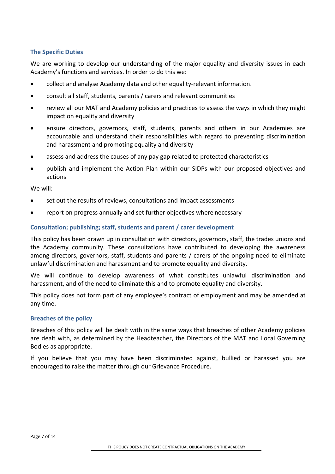## **The Specific Duties**

We are working to develop our understanding of the major equality and diversity issues in each Academy's functions and services. In order to do this we:

- collect and analyse Academy data and other equality-relevant information.
- consult all staff, students, parents / carers and relevant communities
- review all our MAT and Academy policies and practices to assess the ways in which they might impact on equality and diversity
- ensure directors, governors, staff, students, parents and others in our Academies are accountable and understand their responsibilities with regard to preventing discrimination and harassment and promoting equality and diversity
- assess and address the causes of any pay gap related to protected characteristics
- publish and implement the Action Plan within our SIDPs with our proposed objectives and actions

We will:

- set out the results of reviews, consultations and impact assessments
- report on progress annually and set further objectives where necessary

#### **Consultation; publishing; staff, students and parent / carer development**

This policy has been drawn up in consultation with directors, governors, staff, the trades unions and the Academy community. These consultations have contributed to developing the awareness among directors, governors, staff, students and parents / carers of the ongoing need to eliminate unlawful discrimination and harassment and to promote equality and diversity.

We will continue to develop awareness of what constitutes unlawful discrimination and harassment, and of the need to eliminate this and to promote equality and diversity.

This policy does not form part of any employee's contract of employment and may be amended at any time.

#### **Breaches of the policy**

Breaches of this policy will be dealt with in the same ways that breaches of other Academy policies are dealt with, as determined by the Headteacher, the Directors of the MAT and Local Governing Bodies as appropriate.

If you believe that you may have been discriminated against, bullied or harassed you are encouraged to raise the matter through our Grievance Procedure.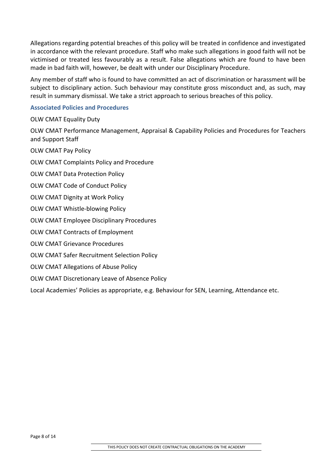Allegations regarding potential breaches of this policy will be treated in confidence and investigated in accordance with the relevant procedure. Staff who make such allegations in good faith will not be victimised or treated less favourably as a result. False allegations which are found to have been made in bad faith will, however, be dealt with under our Disciplinary Procedure.

Any member of staff who is found to have committed an act of discrimination or harassment will be subject to disciplinary action. Such behaviour may constitute gross misconduct and, as such, may result in summary dismissal. We take a strict approach to serious breaches of this policy.

## **Associated Policies and Procedures**

OLW CMAT Equality Duty

OLW CMAT Performance Management, Appraisal & Capability Policies and Procedures for Teachers and Support Staff

OLW CMAT Pay Policy

OLW CMAT Complaints Policy and Procedure

OLW CMAT Data Protection Policy

OLW CMAT Code of Conduct Policy

OLW CMAT Dignity at Work Policy

OLW CMAT Whistle-blowing Policy

OLW CMAT Employee Disciplinary Procedures

OLW CMAT Contracts of Employment

OLW CMAT Grievance Procedures

OLW CMAT Safer Recruitment Selection Policy

OLW CMAT Allegations of Abuse Policy

OLW CMAT Discretionary Leave of Absence Policy

Local Academies' Policies as appropriate, e.g. Behaviour for SEN, Learning, Attendance etc.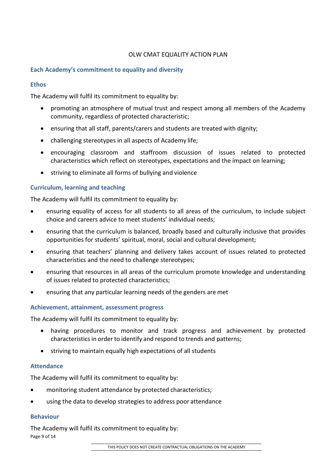## OLW CMAT EQUALITY ACTION PLAN

#### **Each Academy's commitment to equality and diversity**

#### **Ethos**

The Academy will fulfil its commitment to equality by:

- promoting an atmosphere of mutual trust and respect among all members of the Academy community, regardless of protected characteristic;
- ensuring that all staff, parents/carers and students are treated with dignity;
- challenging stereotypes in all aspects of Academy life;
- encouraging classroom and staffroom discussion of issues related to protected characteristics which reflect on stereotypes, expectations and the impact on learning;
- striving to eliminate all forms of bullying and violence

#### **Curriculum, learning and teaching**

The Academy will fulfil its commitment to equality by:

- ensuring equality of access for all students to all areas of the curriculum, to include subject choice and careers advice to meet students' individual needs;
- ensuring that the curriculum is balanced, broadly based and culturally inclusive that provides opportunities for students' spiritual, moral, social and cultural development;
- ensuring that teachers' planning and delivery takes account of issues related to protected characteristics and the need to challenge stereotypes;
- ensuring that resources in all areas of the curriculum promote knowledge and understanding of issues related to protected characteristics;
- ensuring that any particular learning needs of the genders are met

#### **Achievement, attainment, assessment progress**

The Academy will fulfil its commitment to equality by:

- having procedures to monitor and track progress and achievement by protected characteristics in order to identify and respond to trends and patterns;
- striving to maintain equally high expectations of all students

#### **Attendance**

The Academy will fulfil its commitment to equality by:

- monitoring student attendance by protected characteristics;
- using the data to develop strategies to address poor attendance

#### **Behaviour**

Page 9 of 14 The Academy will fulfil its commitment to equality by: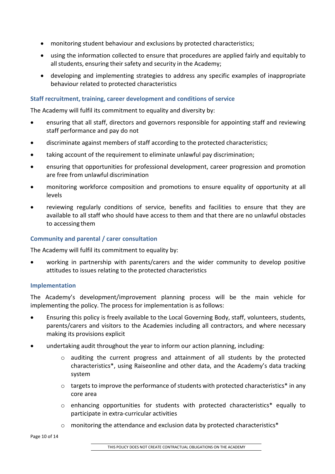- monitoring student behaviour and exclusions by protected characteristics;
- using the information collected to ensure that procedures are applied fairly and equitably to all students, ensuring their safety and security in the Academy;
- developing and implementing strategies to address any specific examples of inappropriate behaviour related to protected characteristics

## **Staff recruitment, training, career development and conditions of service**

The Academy will fulfil its commitment to equality and diversity by:

- ensuring that all staff, directors and governors responsible for appointing staff and reviewing staff performance and pay do not
- discriminate against members of staff according to the protected characteristics;
- taking account of the requirement to eliminate unlawful pay discrimination;
- ensuring that opportunities for professional development, career progression and promotion are free from unlawful discrimination
- monitoring workforce composition and promotions to ensure equality of opportunity at all levels
- reviewing regularly conditions of service, benefits and facilities to ensure that they are available to all staff who should have access to them and that there are no unlawful obstacles to accessing them

## **Community and parental / carer consultation**

The Academy will fulfil its commitment to equality by:

• working in partnership with parents/carers and the wider community to develop positive attitudes to issues relating to the protected characteristics

#### **Implementation**

The Academy's development/improvement planning process will be the main vehicle for implementing the policy. The process for implementation is as follows:

- Ensuring this policy is freely available to the Local Governing Body, staff, volunteers, students, parents/carers and visitors to the Academies including all contractors, and where necessary making its provisions explicit
- undertaking audit throughout the year to inform our action planning, including:
	- o auditing the current progress and attainment of all students by the protected characteristics\*, using Raiseonline and other data, and the Academy's data tracking system
	- $\circ$  targets to improve the performance of students with protected characteristics\* in any core area
	- o enhancing opportunities for students with protected characteristics\* equally to participate in extra-curricular activities
	- $\circ$  monitoring the attendance and exclusion data by protected characteristics\*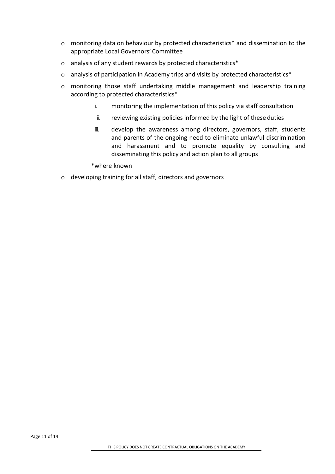- o monitoring data on behaviour by protected characteristics\* and dissemination to the appropriate Local Governors' Committee
- o analysis of any student rewards by protected characteristics\*
- o analysis of participation in Academy trips and visits by protected characteristics\*
- o monitoring those staff undertaking middle management and leadership training according to protected characteristics\*
	- i. monitoring the implementation of this policy via staff consultation
	- ii. reviewing existing policies informed by the light of these duties
	- iii. develop the awareness among directors, governors, staff, students and parents of the ongoing need to eliminate unlawful discrimination and harassment and to promote equality by consulting and disseminating this policy and action plan to all groups

\*where known

o developing training for all staff, directors and governors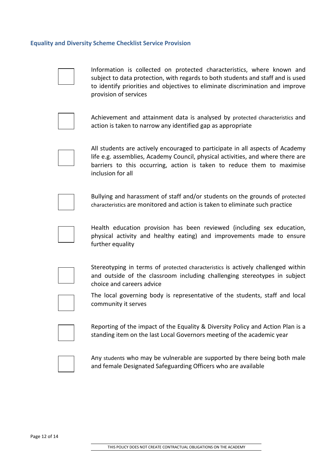#### **Equality and Diversity Scheme Checklist Service Provision**



Information is collected on protected characteristics, where known and subject to data protection, with regards to both students and staff and is used to identify priorities and objectives to eliminate discrimination and improve provision of services



Achievement and attainment data is analysed by protected characteristics and action is taken to narrow any identified gap as appropriate



All students are actively encouraged to participate in all aspects of Academy life e.g. assemblies, Academy Council, physical activities, and where there are barriers to this occurring, action is taken to reduce them to maximise inclusion for all



Bullying and harassment of staff and/or students on the grounds of protected characteristics are monitored and action is taken to eliminate such practice



Health education provision has been reviewed (including sex education, physical activity and healthy eating) and improvements made to ensure further equality



Stereotyping in terms of protected characteristics is actively challenged within and outside of the classroom including challenging stereotypes in subject choice and careers advice



The local governing body is representative of the students, staff and local community it serves

Reporting of the impact of the Equality & Diversity Policy and Action Plan is a standing item on the last Local Governors meeting of the academic year



Any students who may be vulnerable are supported by there being both male and female Designated Safeguarding Officers who are available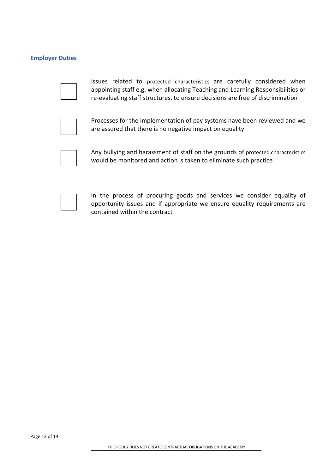## **Employer Duties**



Issues related to protected characteristics are carefully considered when appointing staff e.g. when allocating Teaching and Learning Responsibilities or re-evaluating staff structures, to ensure decisions are free of discrimination



Processes for the implementation of pay systems have been reviewed and we are assured that there is no negative impact on equality



Any bullying and harassment of staff on the grounds of protected characteristics would be monitored and action is taken to eliminate such practice

In the process of procuring goods and services we consider equality of opportunity issues and if appropriate we ensure equality requirements are contained within the contract